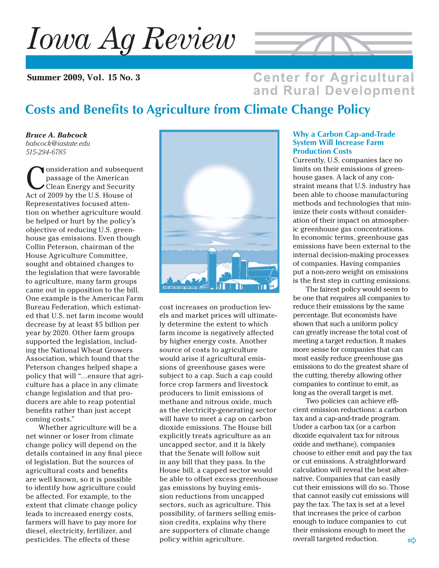# *Iowa Ag Review*

**Summer 2009, Vol. 15 No. 3**



### **Center for Agricultural** and Rural Development

# **Costs and Benefits to Agriculture from Climate Change Policy**

*Bruce A. Babcock babcock@iastate.edu 515-294-6785*

onsideration and subsequent passage of the American Clean Energy and Security Act of 2009 by the U.S. House of Representatives focused attention on whether agriculture would be helped or hurt by the policy's objective of reducing U.S. greenhouse gas emissions. Even though Collin Peterson, chairman of the House Agriculture Committee, sought and obtained changes to the legislation that were favorable to agriculture, many farm groups came out in opposition to the bill. One example is the American Farm Bureau Federation, which estimated that U.S. net farm income would decrease by at least \$5 billion per year by 2020. Other farm groups supported the legislation, including the National Wheat Growers Association, which found that the Peterson changes helped shape a policy that will "…ensure that agriculture has a place in any climate change legislation and that producers are able to reap potential benefits rather than just accept coming costs."

Whether agriculture will be a net winner or loser from climate change policy will depend on the details contained in any final piece of legislation. But the sources of agricultural costs and benefits are well known, so it is possible to identify how agriculture could be affected. For example, to the extent that climate change policy leads to increased energy costs, farmers will have to pay more for diesel, electricity, fertilizer, and pesticides. The effects of these



cost increases on production levels and market prices will ultimately determine the extent to which farm income is negatively affected by higher energy costs. Another source of costs to agriculture would arise if agricultural emissions of greenhouse gases were subject to a cap. Such a cap could force crop farmers and livestock producers to limit emissions of methane and nitrous oxide, much as the electricity-generating sector will have to meet a cap on carbon dioxide emissions. The House bill explicitly treats agriculture as an uncapped sector, and it is likely that the Senate will follow suit in any bill that they pass. In the House bill, a capped sector would be able to offset excess greenhouse gas emissions by buying emission reductions from uncapped sectors, such as agriculture. This possibility, of farmers selling emission credits, explains why there are supporters of climate change policy within agriculture.

### **Why a Carbon Cap-and-Trade System Will Increase Farm Production Costs**

Currently, U.S. companies face no limits on their emissions of greenhouse gases. A lack of any constraint means that U.S. industry has been able to choose manufacturing methods and technologies that minimize their costs without consideration of their impact on atmospheric greenhouse gas concentrations. In economic terms, greenhouse gas emissions have been external to the internal decision-making processes of companies. Having companies put a non-zero weight on emissions is the first step in cutting emissions.

The fairest policy would seem to be one that requires all companies to reduce their emissions by the same percentage. But economists have shown that such a uniform policy can greatly increase the total cost of meeting a target reduction. It makes more sense for companies that can most easily reduce greenhouse gas emissions to do the greatest share of the cutting, thereby allowing other companies to continue to emit, as long as the overall target is met.

Two policies can achieve efficient emission reductions: a carbon tax and a cap-and-trade program. Under a carbon tax (or a carbon dioxide equivalent tax for nitrous oxide and methane), companies choose to either emit and pay the tax or cut emissions. A straightforward calculation will reveal the best alternative. Companies that can easily cut their emissions will do so. Those that cannot easily cut emissions will pay the tax. The tax is set at a level that increases the price of carbon enough to induce companies to cut their emissions enough to meet the overall targeted reduction.  $\Box$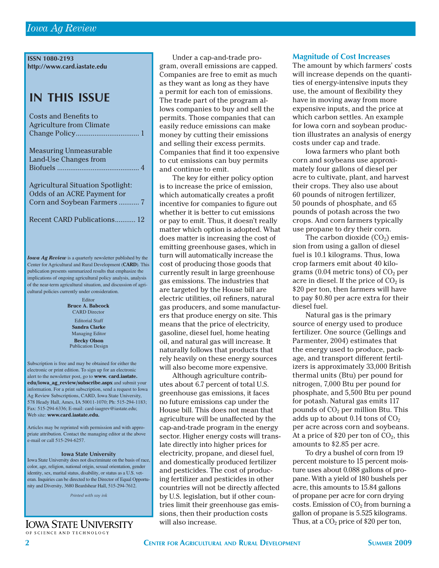**ISSN 1080-2193 http://www.card.iastate.edu**

### **IN THIS ISSUE**

| <b>Costs and Benefits to</b><br><b>Agriculture from Climate</b>                                                                                                                                                                                                                                                                                                                                                                                                                                                    |
|--------------------------------------------------------------------------------------------------------------------------------------------------------------------------------------------------------------------------------------------------------------------------------------------------------------------------------------------------------------------------------------------------------------------------------------------------------------------------------------------------------------------|
| <b>Measuring Unmeasurable</b><br>Land-Use Changes from<br>Biofuels<br>$\overline{4}$                                                                                                                                                                                                                                                                                                                                                                                                                               |
| <b>Agricultural Situation Spotlight:</b><br>Odds of an ACRE Payment for<br>Corn and Soybean Farmers  7                                                                                                                                                                                                                                                                                                                                                                                                             |
| Recent CARD Publications 12                                                                                                                                                                                                                                                                                                                                                                                                                                                                                        |
| <b>Iowa Ag Review</b> is a quarterly newsletter published by the<br>Center for Agricultural and Rural Development (CARD). This<br>publication presents summarized results that emphasize the<br>implications of ongoing agricultural policy analysis, analysis<br>of the near-term agricultural situation, and discussion of agri-<br>cultural policies currently under consideration.<br>Editor<br><b>Bruce A. Babcock</b><br><b>CARD</b> Director                                                                |
| <b>Editorial Staff</b><br><b>Sandra Clarke</b><br>Managing Editor<br><b>Becky Olson</b><br><b>Publication Design</b>                                                                                                                                                                                                                                                                                                                                                                                               |
| Subscription is free and may be obtained for either the<br>electronic or print edition. To sign up for an electronic<br>alert to the newsletter post, go to www. card.iastate.<br>edu/iowa_ag_review/subscribe.aspx and submit your<br>information. For a print subscription, send a request to Iowa<br>Ag Review Subscriptions, CARD, Iowa State University,<br>578 Heady Hall, Ames, IA 50011-1070; Ph: 515-294-1183;<br>Fax: 515-294-6336; E-mail: card-iaagrev@iastate.edu;<br>Web site: www.card.iastate.edu. |

Articles may be reprinted with permission and with appropriate attribution. Contact the managing editor at the above e-mail or call 515-294-6257.

#### **Iowa State University**

Iowa State University does not discriminate on the basis of race, color, age, religion, national origin, sexual orientation, gender identity, sex, marital status, disability, or status as a U.S. veteran. Inquiries can be directed to the Director of Equal Opportunity and Diversity, 3680 Beardshear Hall, 515-294-7612.

*Printed with soy ink*

**IOWA STATE UNIVERSITY** OF SCIENCE AND TECHNOLOGY

Under a cap-and-trade program, overall emissions are capped. Companies are free to emit as much as they want as long as they have a permit for each ton of emissions. The trade part of the program allows companies to buy and sell the permits. Those companies that can easily reduce emissions can make money by cutting their emissions and selling their excess permits. Companies that find it too expensive to cut emissions can buy permits and continue to emit.

The key for either policy option is to increase the price of emission, which automatically creates a profit incentive for companies to figure out whether it is better to cut emissions or pay to emit. Thus, it doesn't really matter which option is adopted. What does matter is increasing the cost of emitting greenhouse gases, which in turn will automatically increase the cost of producing those goods that currently result in large greenhouse gas emissions. The industries that are targeted by the House bill are electric utilities, oil refiners, natural gas producers, and some manufacturers that produce energy on site. This means that the price of electricity, gasoline, diesel fuel, home heating oil, and natural gas will increase. It naturally follows that products that rely heavily on these energy sources will also become more expensive.

Although agriculture contributes about 6.7 percent of total U.S. greenhouse gas emissions, it faces no future emissions cap under the House bill. This does not mean that agriculture will be unaffected by the cap-and-trade program in the energy sector. Higher energy costs will translate directly into higher prices for electricity, propane, and diesel fuel, and domestically produced fertilizer and pesticides. The cost of producing fertilizer and pesticides in other countries will not be directly affected by U.S. legislation, but if other countries limit their greenhouse gas emissions, then their production costs will also increase.

### **Magnitude of Cost Increases**

The amount by which farmers' costs will increase depends on the quantities of energy-intensive inputs they use, the amount of flexibility they have in moving away from more expensive inputs, and the price at which carbon settles. An example for Iowa corn and soybean production illustrates an analysis of energy costs under cap and trade.

Iowa farmers who plant both corn and soybeans use approximately four gallons of diesel per acre to cultivate, plant, and harvest their crops. They also use about 60 pounds of nitrogen fertilizer, 50 pounds of phosphate, and 65 pounds of potash across the two crops. And corn farmers typically use propane to dry their corn.

The carbon dioxide  $(CO<sub>2</sub>)$  emission from using a gallon of diesel fuel is 10.1 kilograms. Thus, Iowa crop farmers emit about 40 kilograms (0.04 metric tons) of  $CO<sub>2</sub>$  per acre in diesel. If the price of  $CO<sub>2</sub>$  is \$20 per ton, then farmers will have to pay \$0.80 per acre extra for their diesel fuel.

Natural gas is the primary source of energy used to produce fertilizer. One source (Gellings and Parmenter, 2004) estimates that the energy used to produce, package, and transport different fertilizers is approximately 33,000 British thermal units (Btu) per pound for nitrogen, 7,000 Btu per pound for phosphate, and 5,500 Btu per pound for potash. Natural gas emits 117 pounds of CO<sub>2</sub> per million Btu. This adds up to about  $0.14$  tons of  $CO<sub>2</sub>$ per acre across corn and soybeans. At a price of \$20 per ton of  $CO<sub>2</sub>$ , this amounts to \$2.85 per acre.

To dry a bushel of corn from 19 percent moisture to 15 percent moisture uses about 0.088 gallons of propane. With a yield of 180 bushels per acre, this amounts to 15.84 gallons of propane per acre for corn drying costs. Emission of  $CO<sub>2</sub>$  from burning a gallon of propane is 5.525 kilograms. Thus, at a  $CO<sub>2</sub>$  price of \$20 per ton,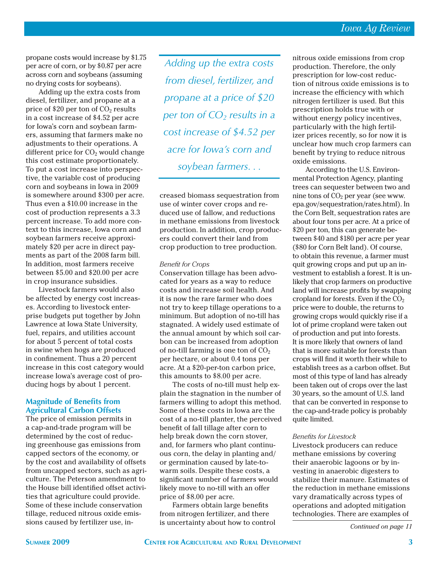propane costs would increase by \$1.75 per acre of corn, or by \$0.87 per acre across corn and soybeans (assuming no drying costs for soybeans).

Adding up the extra costs from diesel, fertilizer, and propane at a price of  $$20$  per ton of  $CO<sub>2</sub>$  results in a cost increase of \$4.52 per acre for Iowa's corn and soybean farmers, assuming that farmers make no adjustments to their operations. A different price for  $CO<sub>2</sub>$  would change this cost estimate proportionately. To put a cost increase into perspective, the variable cost of producing corn and soybeans in Iowa in 2009 is somewhere around \$300 per acre. Thus even a \$10.00 increase in the cost of production represents a 3.3 percent increase. To add more context to this increase, Iowa corn and soybean farmers receive approximately \$20 per acre in direct payments as part of the 2008 farm bill. In addition, most farmers receive between \$5.00 and \$20.00 per acre in crop insurance subsidies.

Livestock farmers would also be affected by energy cost increases. According to livestock enterprise budgets put together by John Lawrence at Iowa State University, fuel, repairs, and utilities account for about 5 percent of total costs in swine when hogs are produced in confinement. Thus a 20 percent increase in this cost category would increase Iowa's average cost of producing hogs by about 1 percent.

### **Magnitude of Benefits from Agricultural Carbon Offsets**

The price of emission permits in a cap-and-trade program will be determined by the cost of reducing greenhouse gas emissions from capped sectors of the economy, or by the cost and availability of offsets from uncapped sectors, such as agriculture. The Peterson amendment to the House bill identified offset activities that agriculture could provide. Some of these include conservation tillage, reduced nitrous oxide emissions caused by fertilizer use, in-

*Adding up the extra costs from diesel, fertilizer, and propane at a price of \$20 per ton of CO2 results in a cost increase of \$4.52 per acre for Iowa's corn and soybean farmers. . .*

creased biomass sequestration from use of winter cover crops and reduced use of fallow, and reductions in methane emissions from livestock production. In addition, crop producers could convert their land from crop production to tree production.

### **Benefit for Crops**

Conservation tillage has been advocated for years as a way to reduce costs and increase soil health. And it is now the rare farmer who does not try to keep tillage operations to a minimum. But adoption of no-till has stagnated. A widely used estimate of the annual amount by which soil carbon can be increased from adoption of no-till farming is one ton of  $CO<sub>2</sub>$ per hectare, or about 0.4 tons per acre. At a \$20-per-ton carbon price, this amounts to \$8.00 per acre.

The costs of no-till must help explain the stagnation in the number of farmers willing to adopt this method. Some of these costs in Iowa are the cost of a no-till planter, the perceived benefit of fall tillage after corn to help break down the corn stover, and, for farmers who plant continuous corn, the delay in planting and/ or germination caused by late-towarm soils. Despite these costs, a significant number of farmers would likely move to no-till with an offer price of \$8.00 per acre.

Farmers obtain large benefits from nitrogen fertilizer, and there is uncertainty about how to control nitrous oxide emissions from crop production. Therefore, the only prescription for low-cost reduction of nitrous oxide emissions is to increase the efficiency with which nitrogen fertilizer is used. But this prescription holds true with or without energy policy incentives, particularly with the high fertilizer prices recently, so for now it is unclear how much crop farmers can benefit by trying to reduce nitrous oxide emissions.

According to the U.S. Environmental Protection Agency, planting trees can sequester between two and nine tons of  $CO<sub>2</sub>$  per year (see www. epa.gov/sequestration/rates.html). In the Corn Belt, sequestration rates are about four tons per acre. At a price of \$20 per ton, this can generate between \$40 and \$180 per acre per year (\$80 for Corn Belt land). Of course, to obtain this revenue, a farmer must quit growing crops and put up an investment to establish a forest. It is unlikely that crop farmers on productive land will increase profits by swapping cropland for forests. Even if the  $CO<sub>2</sub>$ price were to double, the returns to growing crops would quickly rise if a lot of prime cropland were taken out of production and put into forests. It is more likely that owners of land that is more suitable for forests than crops will find it worth their while to establish trees as a carbon offset. But most of this type of land has already been taken out of crops over the last 30 years, so the amount of U.S. land that can be converted in response to the cap-and-trade policy is probably quite limited.

#### *Benefits for Livestock*

Livestock producers can reduce methane emissions by covering their anaerobic lagoons or by investing in anaerobic digesters to stabilize their manure. Estimates of the reduction in methane emissions vary dramatically across types of operations and adopted mitigation technologies. There are examples of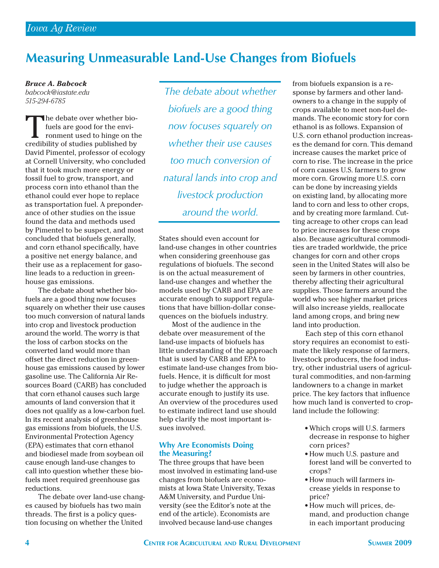# **Measuring Unmeasurable Land-Use Changes from Biofuels**

*Bruce A. Babcock babcock@iastate.edu 515-294-6785*

The debate over whether biofuels are good for the environment used to hinge on the credibility of studies published by David Pimentel, professor of ecology at Cornell University, who concluded that it took much more energy or fossil fuel to grow, transport, and process corn into ethanol than the ethanol could ever hope to replace as transportation fuel. A preponderance of other studies on the issue found the data and methods used by Pimentel to be suspect, and most concluded that biofuels generally, and corn ethanol specifically, have a positive net energy balance, and their use as a replacement for gasoline leads to a reduction in greenhouse gas emissions.

The debate about whether biofuels are a good thing now focuses squarely on whether their use causes too much conversion of natural lands into crop and livestock production around the world. The worry is that the loss of carbon stocks on the converted land would more than offset the direct reduction in greenhouse gas emissions caused by lower gasoline use. The California Air Resources Board (CARB) has concluded that corn ethanol causes such large amounts of land conversion that it does not qualify as a low-carbon fuel. In its recent analysis of greenhouse gas emissions from biofuels, the U.S. Environmental Protection Agency (EPA) estimates that corn ethanol and biodiesel made from soybean oil cause enough land-use changes to call into question whether these biofuels meet required greenhouse gas reductions.

The debate over land-use changes caused by biofuels has two main threads. The first is a policy question focusing on whether the United

*The debate about whether biofuels are a good thing now focuses squarely on whether their use causes too much conversion of natural lands into crop and livestock production around the world.* 

States should even account for land-use changes in other countries when considering greenhouse gas regulations of biofuels. The second is on the actual measurement of land-use changes and whether the models used by CARB and EPA are accurate enough to support regulations that have billion-dollar consequences on the biofuels industry.

Most of the audience in the debate over measurement of the land-use impacts of biofuels has little understanding of the approach that is used by CARB and EPA to estimate land-use changes from biofuels. Hence, it is difficult for most to judge whether the approach is accurate enough to justify its use. An overview of the procedures used to estimate indirect land use should help clarify the most important issues involved.

### **Why Are Economists Doing the Measuring?**

The three groups that have been most involved in estimating land-use changes from biofuels are economists at Iowa State University, Texas A&M University, and Purdue University (see the Editor's note at the end of the article). Economists are involved because land-use changes

from biofuels expansion is a response by farmers and other landowners to a change in the supply of crops available to meet non-fuel demands. The economic story for corn ethanol is as follows. Expansion of U.S. corn ethanol production increases the demand for corn. This demand increase causes the market price of corn to rise. The increase in the price of corn causes U.S. farmers to grow more corn. Growing more U.S. corn can be done by increasing yields on existing land, by allocating more land to corn and less to other crops, and by creating more farmland. Cutting acreage to other crops can lead to price increases for these crops also. Because agricultural commodities are traded worldwide, the price changes for corn and other crops seen in the United States will also be seen by farmers in other countries, thereby affecting their agricultural supplies. Those farmers around the world who see higher market prices will also increase yields, reallocate land among crops, and bring new land into production.

Each step of this corn ethanol story requires an economist to estimate the likely response of farmers, livestock producers, the food industry, other industrial users of agricultural commodities, and non-farming landowners to a change in market price. The key factors that influence how much land is converted to cropland include the following:

- Which crops will U.S. farmers decrease in response to higher corn prices?
- How much U.S. pasture and forest land will be converted to crops?
- How much will farmers increase yields in response to price?
- How much will prices, demand, and production change in each important producing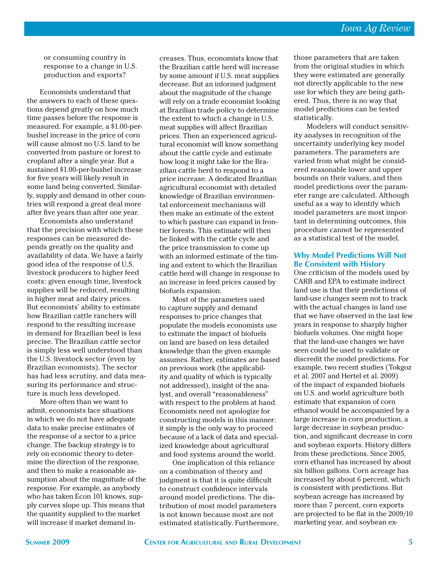or consuming country in response to a change in U.S. production and exports?

Economists understand that the answers to each of these questions depend greatly on how much time passes before the response is measured. For example, a \$1.00-perbushel increase in the price of corn will cause almost no U.S. land to be converted from pasture or forest to cropland after a single year. But a sustained \$1.00-per-bushel increase for five years will likely result in some land being converted. Similarly, supply and demand in other countries will respond a great deal more after five years than after one year.

Economists also understand that the precision with which these responses can be measured depends greatly on the quality and availability of data. We have a fairly good idea of the response of U.S. livestock producers to higher feed costs: given enough time, livestock supplies will be reduced, resulting in higher meat and dairy prices. But economists' ability to estimate how Brazilian cattle ranchers will respond to the resulting increase in demand for Brazilian beef is less precise. The Brazilian cattle sector is simply less well understood than the U.S. livestock sector (even by Brazilian economists). The sector has had less scrutiny, and data measuring its performance and structure is much less developed.

More often than we want to admit, economists face situations in which we do not have adequate data to make precise estimates of the response of a sector to a price change. The backup strategy is to rely on economic theory to determine the direction of the response, and then to make a reasonable assumption about the magnitude of the response. For example, as anybody who has taken Econ 101 knows, supply curves slope up. This means that the quantity supplied to the market will increase if market demand increases. Thus, economists know that the Brazilian cattle herd will increase by some amount if U.S. meat supplies decrease. But an informed judgment about the magnitude of the change will rely on a trade economist looking at Brazilian trade policy to determine the extent to which a change in U.S. meat supplies will affect Brazilian prices. Then an experienced agricultural economist will know something about the cattle cycle and estimate how long it might take for the Brazilian cattle herd to respond to a price increase. A dedicated Brazilian agricultural economist with detailed knowledge of Brazilian environmental enforcement mechanisms will then make an estimate of the extent to which pasture can expand in frontier forests. This estimate will then be linked with the cattle cycle and the price transmission to come up with an informed estimate of the timing and extent to which the Brazilian cattle herd will change in response to an increase in feed prices caused by biofuels expansion.

Most of the parameters used to capture supply and demand responses to price changes that populate the models economists use to estimate the impact of biofuels on land are based on less detailed knowledge than the given example assumes. Rather, estimates are based on previous work (the applicability and quality of which is typically not addressed), insight of the analyst, and overall "reasonableness" with respect to the problem at hand. Economists need not apologize for constructing models in this manner: it simply is the only way to proceed because of a lack of data and specialized knowledge about agricultural and food systems around the world.

One implication of this reliance on a combination of theory and judgment is that it is quite difficult to construct confidence intervals around model predictions. The distribution of most model parameters is not known because most are not estimated statistically. Furthermore, those parameters that are taken from the original studies in which they were estimated are generally not directly applicable to the new use for which they are being gathered. Thus, there is no way that model predictions can be tested statistically.

Modelers will conduct sensitivity analyses in recognition of the uncertainty underlying key model parameters. The parameters are varied from what might be considered reasonable lower and upper bounds on their values, and then model predictions over the parameter range are calculated. Although useful as a way to identify which model parameters are most important in determining outcomes, this procedure cannot be represented as a statistical test of the model.

### **Why Model Predictions Will Not Be Consistent with History**

One criticism of the models used by CARB and EPA to estimate indirect land use is that their predictions of land-use changes seem not to track with the actual changes in land use that we have observed in the last few years in response to sharply higher biofuels volumes. One might hope that the land-use changes we have seen could be used to validate or discredit the model predictions. For example, two recent studies (Tokgoz et al. 2007 and Hertel et al. 2009) of the impact of expanded biofuels on U.S. and world agriculture both estimate that expansion of corn ethanol would be accompanied by a large increase in corn production, a large decrease in soybean production, and significant decrease in corn and soybean exports. History differs from these predictions. Since 2005, corn ethanol has increased by about six billion gallons. Corn acreage has increased by about 6 percent, which is consistent with predictions. But soybean acreage has increased by more than 7 percent, corn exports are projected to be flat in the 2009/10 marketing year, and soybean ex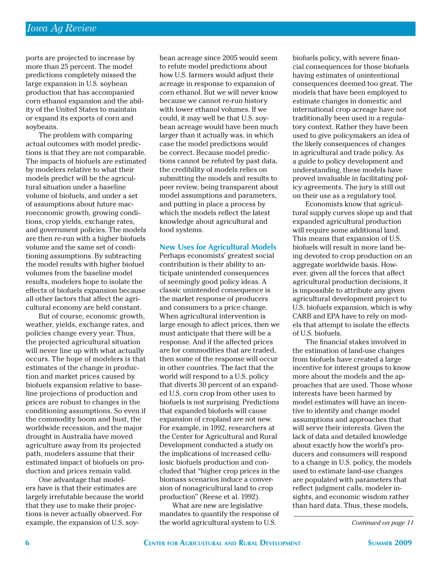ports are projected to increase by more than 25 percent. The model predictions completely missed the large expansion in U.S. soybean production that has accompanied corn ethanol expansion and the ability of the United States to maintain or expand its exports of corn and soybeans.

The problem with comparing actual outcomes with model predictions is that they are not comparable. The impacts of biofuels are estimated by modelers relative to what their models predict will be the agricultural situation under a baseline volume of biofuels, and under a set of assumptions about future macroeconomic growth, growing conditions, crop yields, exchange rates, and government policies. The models are then re-run with a higher biofuels volume and the same set of conditioning assumptions. By subtracting the model results with higher biofuel volumes from the baseline model results, modelers hope to isolate the effects of biofuels expansion because all other factors that affect the agricultural economy are held constant.

But of course, economic growth, weather, yields, exchange rates, and policies change every year. Thus, the projected agricultural situation will never line up with what actually occurs. The hope of modelers is that estimates of the change in production and market prices caused by biofuels expansion relative to baseline projections of production and prices are robust to changes in the conditioning assumptions. So even if the commodity boom and bust, the worldwide recession, and the major drought in Australia have moved agriculture away from its projected path, modelers assume that their estimated impact of biofuels on production and prices remain valid.

One advantage that modelers have is that their estimates are largely irrefutable because the world that they use to make their projections is never actually observed. For example, the expansion of U.S. soybean acreage since 2005 would seem to refute model predictions about how U.S. farmers would adjust their acreage in response to expansion of corn ethanol. But we will never know because we cannot re-run history with lower ethanol volumes. If we could, it may well be that U.S. soybean acreage would have been much larger than it actually was, in which case the model predictions would be correct. Because model predictions cannot be refuted by past data, the credibility of models relies on submitting the models and results to peer review, being transparent about model assumptions and parameters, and putting in place a process by which the models reflect the latest knowledge about agricultural and food systems.

### **New Uses for Agricultural Models**

Perhaps economists' greatest social contribution is their ability to anticipate unintended consequences of seemingly good policy ideas. A classic unintended consequence is the market response of producers and consumers to a price change. When agricultural intervention is large enough to affect prices, then we must anticipate that there will be a response. And if the affected prices are for commodities that are traded, then some of the response will occur in other countries. The fact that the world will respond to a U.S. policy that diverts 30 percent of an expanded U.S. corn crop from other uses to biofuels is not surprising. Predictions that expanded biofuels will cause expansion of cropland are not new. For example, in 1992, researchers at the Center for Agricultural and Rural Development conducted a study on the implications of increased cellulosic biofuels production and concluded that "higher crop prices in the biomass scenarios induce a conversion of nonagricultural land to crop production" (Reese et al. 1992).

What are new are legislative mandates to quantify the response of the world agricultural system to U.S.

biofuels policy, with severe financial consequences for those biofuels having estimates of unintentional consequences deemed too great. The models that have been employed to estimate changes in domestic and international crop acreage have not traditionally been used in a regulatory context. Rather they have been used to give policymakers an idea of the likely consequences of changes in agricultural and trade policy. As a guide to policy development and understanding, these models have proved invaluable in facilitating policy agreements. The jury is still out on their use as a regulatory tool.

Economists know that agricultural supply curves slope up and that expanded agricultural production will require some additional land. This means that expansion of U.S. biofuels will result in more land being devoted to crop production on an aggregate worldwide basis. However, given all the forces that affect agricultural production decisions, it is impossible to attribute any given agricultural development project to U.S. biofuels expansion, which is why CARB and EPA have to rely on models that attempt to isolate the effects of U.S. biofuels.

The financial stakes involved in the estimation of land-use changes from biofuels have created a large incentive for interest groups to know more about the models and the approaches that are used. Those whose interests have been harmed by model estimates will have an incentive to identify and change model assumptions and approaches that will serve their interests. Given the lack of data and detailed knowledge about exactly how the world's producers and consumers will respond to a change in U.S. policy, the models used to estimate land-use changes are populated with parameters that reflect judgment calls, modeler insights, and economic wisdom rather than hard data. Thus, these models,

*Continued on page 11*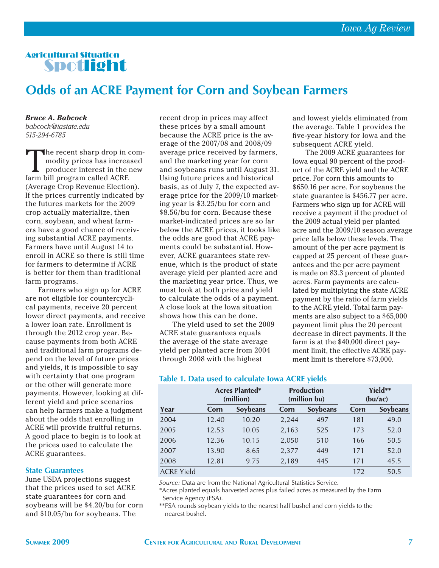### Agricultural Situation Spotlight

## **Odds of an ACRE Payment for Corn and Soybean Farmers**

*Bruce A. Babcock babcock@iastate.edu 515-294-6785*

The recent sharp drop in com-<br>modity prices has increased<br>producer interest in the new<br>farm bill program called ACRF modity prices has increased producer interest in the new farm bill program called ACRE (Average Crop Revenue Election). If the prices currently indicated by the futures markets for the 2009 crop actually materialize, then corn, soybean, and wheat farmers have a good chance of receiving substantial ACRE payments. Farmers have until August 14 to enroll in ACRE so there is still time for farmers to determine if ACRE is better for them than traditional farm programs.

Farmers who sign up for ACRE are not eligible for countercyclical payments, receive 20 percent lower direct payments, and receive a lower loan rate. Enrollment is through the 2012 crop year. Because payments from both ACRE and traditional farm programs depend on the level of future prices and yields, it is impossible to say with certainty that one program or the other will generate more payments. However, looking at different yield and price scenarios can help farmers make a judgment about the odds that enrolling in ACRE will provide fruitful returns. A good place to begin is to look at the prices used to calculate the ACRE guarantees.

### **State Guarantees**

June USDA projections suggest that the prices used to set ACRE state guarantees for corn and soybeans will be \$4.20/bu for corn and \$10.05/bu for soybeans. The

recent drop in prices may affect these prices by a small amount because the ACRE price is the average of the 2007/08 and 2008/09 average price received by farmers, and the marketing year for corn and soybeans runs until August 31. Using future prices and historical basis, as of July 7, the expected average price for the 2009/10 marketing year is \$3.25/bu for corn and \$8.56/bu for corn. Because these market-indicated prices are so far below the ACRE prices, it looks like the odds are good that ACRE payments could be substantial. However, ACRE guarantees state revenue, which is the product of state average yield per planted acre and the marketing year price. Thus, we must look at both price and yield to calculate the odds of a payment. A close look at the Iowa situation shows how this can be done.

The yield used to set the 2009 ACRE state guarantees equals the average of the state average yield per planted acre from 2004 through 2008 with the highest

and lowest yields eliminated from the average. Table 1 provides the five-year history for Iowa and the subsequent ACRE yield.

The 2009 ACRE guarantees for Iowa equal 90 percent of the product of the ACRE yield and the ACRE price. For corn this amounts to \$650.16 per acre. For soybeans the state guarantee is \$456.77 per acre. Farmers who sign up for ACRE will receive a payment if the product of the 2009 actual yield per planted acre and the 2009/10 season average price falls below these levels. The amount of the per acre payment is capped at 25 percent of these guarantees and the per acre payment is made on 83.3 percent of planted acres. Farm payments are calculated by multiplying the state ACRE payment by the ratio of farm yields to the ACRE yield. Total farm payments are also subject to a \$65,000 payment limit plus the 20 percent decrease in direct payments. If the farm is at the \$40,000 direct payment limit, the effective ACRE payment limit is therefore \$73,000.

|                   | <b>Acres Planted*</b><br>(million) |          | <b>Production</b><br>(million bu) |                 | Yield**<br>(bu/ac) |          |
|-------------------|------------------------------------|----------|-----------------------------------|-----------------|--------------------|----------|
| Year              | Corn                               | Sovbeans | Corn                              | <b>Sovbeans</b> | Corn               | Soybeans |
| 2004              | 12.40                              | 10.20    | 2,244                             | 497             | 181                | 49.0     |
| 2005              | 12.53                              | 10.05    | 2,163                             | 525             | 173                | 52.0     |
| 2006              | 12.36                              | 10.15    | 2,050                             | 510             | 166                | 50.5     |
| 2007              | 13.90                              | 8.65     | 2,377                             | 449             | 171                | 52.0     |
| 2008              | 12.81                              | 9.75     | 2,189                             | 445             | 171                | 45.5     |
| <b>ACRE Yield</b> |                                    |          |                                   |                 | 172                | 50.5     |

### **Table 1. Data used to calculate Iowa ACRE yields**

*Source:* Data are from the National Agricultural Statistics Service.

\*Acres planted equals harvested acres plus failed acres as measured by the Farm Service Agency (FSA).

\*\*FSA rounds soybean yields to the nearest half bushel and corn yields to the nearest bushel.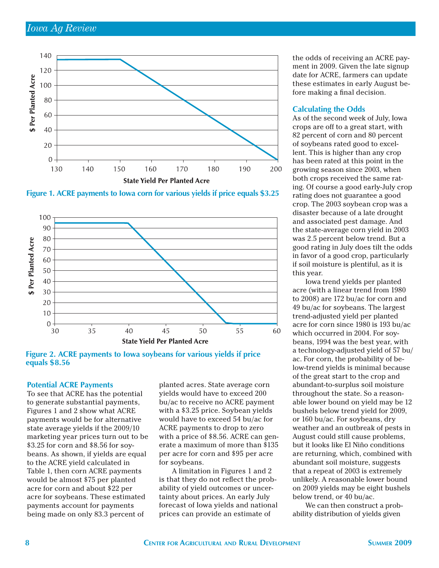

**Figure 1. ACRE payments to Iowa corn for various yields if price equals \$3.25**



**Figure 2. ACRE payments to Iowa soybeans for various yields if price equals \$8.56**

### **Potential ACRE Payments**

To see that ACRE has the potential to generate substantial payments, Figures 1 and 2 show what ACRE payments would be for alternative state average yields if the 2009/10 marketing year prices turn out to be \$3.25 for corn and \$8.56 for soybeans. As shown, if yields are equal to the ACRE yield calculated in Table 1, then corn ACRE payments would be almost \$75 per planted acre for corn and about \$22 per acre for soybeans. These estimated payments account for payments being made on only 83.3 percent of

planted acres. State average corn yields would have to exceed 200 bu/ac to receive no ACRE payment with a \$3.25 price. Soybean yields would have to exceed 54 bu/ac for ACRE payments to drop to zero with a price of \$8.56. ACRE can generate a maximum of more than \$135 per acre for corn and \$95 per acre for soybeans.

A limitation in Figures 1 and 2 is that they do not reflect the probability of yield outcomes or uncertainty about prices. An early July forecast of Iowa yields and national prices can provide an estimate of

the odds of receiving an ACRE payment in 2009. Given the late signup date for ACRE, farmers can update these estimates in early August before making a final decision.

### **Calculating the Odds**

As of the second week of July, Iowa crops are off to a great start, with 82 percent of corn and 80 percent of soybeans rated good to excellent. This is higher than any crop has been rated at this point in the growing season since 2003, when both crops received the same rating. Of course a good early-July crop rating does not guarantee a good crop. The 2003 soybean crop was a disaster because of a late drought and associated pest damage. And the state-average corn yield in 2003 was 2.5 percent below trend. But a good rating in July does tilt the odds in favor of a good crop, particularly if soil moisture is plentiful, as it is this year.

Iowa trend yields per planted acre (with a linear trend from 1980 to 2008) are 172 bu/ac for corn and 49 bu/ac for soybeans. The largest trend-adjusted yield per planted acre for corn since 1980 is 193 bu/ac which occurred in 2004. For soybeans, 1994 was the best year, with a technology-adjusted yield of 57 bu/ ac. For corn, the probability of below-trend yields is minimal because of the great start to the crop and abundant-to-surplus soil moisture throughout the state. So a reasonable lower bound on yield may be 12 bushels below trend yield for 2009, or 160 bu/ac. For soybeans, dry weather and an outbreak of pests in August could still cause problems, but it looks like El Niño conditions are returning, which, combined with abundant soil moisture, suggests that a repeat of 2003 is extremely unlikely. A reasonable lower bound on 2009 yields may be eight bushels below trend, or 40 bu/ac.

We can then construct a probability distribution of yields given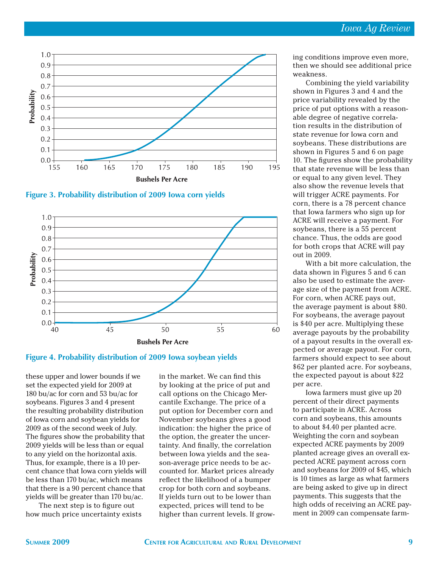

**Figure 3. Probability distribution of 2009 Iowa corn yields**



### **Figure 4. Probability distribution of 2009 Iowa soybean yields**

these upper and lower bounds if we set the expected yield for 2009 at 180 bu/ac for corn and 53 bu/ac for soybeans. Figures 3 and 4 present the resulting probability distribution of Iowa corn and soybean yields for 2009 as of the second week of July. The figures show the probability that 2009 yields will be less than or equal to any yield on the horizontal axis. Thus, for example, there is a 10 percent chance that Iowa corn yields will be less than 170 bu/ac, which means that there is a 90 percent chance that yields will be greater than 170 bu/ac.

The next step is to figure out how much price uncertainty exists in the market. We can find this by looking at the price of put and call options on the Chicago Mercantile Exchange. The price of a put option for December corn and November soybeans gives a good indication: the higher the price of the option, the greater the uncertainty. And finally, the correlation between Iowa yields and the season-average price needs to be accounted for. Market prices already reflect the likelihood of a bumper crop for both corn and soybeans. If yields turn out to be lower than expected, prices will tend to be higher than current levels. If growing conditions improve even more, then we should see additional price weakness.

Combining the yield variability shown in Figures 3 and 4 and the price variability revealed by the price of put options with a reasonable degree of negative correlation results in the distribution of state revenue for Iowa corn and soybeans. These distributions are shown in Figures 5 and 6 on page 10. The figures show the probability that state revenue will be less than or equal to any given level. They also show the revenue levels that will trigger ACRE payments. For corn, there is a 78 percent chance that Iowa farmers who sign up for ACRE will receive a payment. For soybeans, there is a 55 percent chance. Thus, the odds are good for both crops that ACRE will pay out in 2009.

With a bit more calculation, the data shown in Figures 5 and 6 can also be used to estimate the average size of the payment from ACRE. For corn, when ACRE pays out, the average payment is about \$80. For soybeans, the average payout is \$40 per acre. Multiplying these average payouts by the probability of a payout results in the overall expected or average payout. For corn, farmers should expect to see about \$62 per planted acre. For soybeans, the expected payout is about \$22 per acre.

Iowa farmers must give up 20 percent of their direct payments to participate in ACRE. Across corn and soybeans, this amounts to about \$4.40 per planted acre. Weighting the corn and soybean expected ACRE payments by 2009 planted acreage gives an overall expected ACRE payment across corn and soybeans for 2009 of \$45, which is 10 times as large as what farmers are being asked to give up in direct payments. This suggests that the high odds of receiving an ACRE payment in 2009 can compensate farm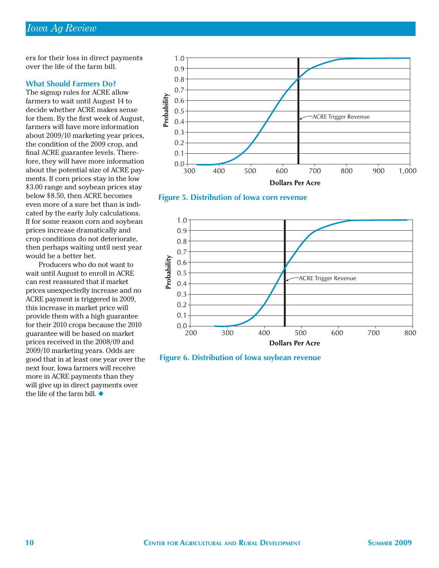ers for their loss in direct payments over the life of the farm bill.

### **What Should Farmers Do?**

The signup rules for ACRE allow farmers to wait until August 14 to decide whether ACRE makes sense for them. By the first week of August, farmers will have more information about 2009/10 marketing year prices, the condition of the 2009 crop, and final ACRE guarantee levels. Therefore, they will have more information about the potential size of ACRE payments. If corn prices stay in the low \$3.00 range and soybean prices stay below \$8.50, then ACRE becomes even more of a sure bet than is indicated by the early July calculations. If for some reason corn and soybean prices increase dramatically and crop conditions do not deteriorate, then perhaps waiting until next year would be a better bet.

Producers who do not want to wait until August to enroll in ACRE can rest reassured that if market prices unexpectedly increase and no ACRE payment is triggered in 2009, this increase in market price will provide them with a high guarantee for their 2010 crops because the 2010 guarantee will be based on market prices received in the 2008/09 and 2009/10 marketing years. Odds are good that in at least one year over the next four, Iowa farmers will receive more in ACRE payments than they will give up in direct payments over the life of the farm bill. ◆



**Figure 5. Distribution of Iowa corn revenue**



**Figure 6. Distribution of Iowa soybean revenue**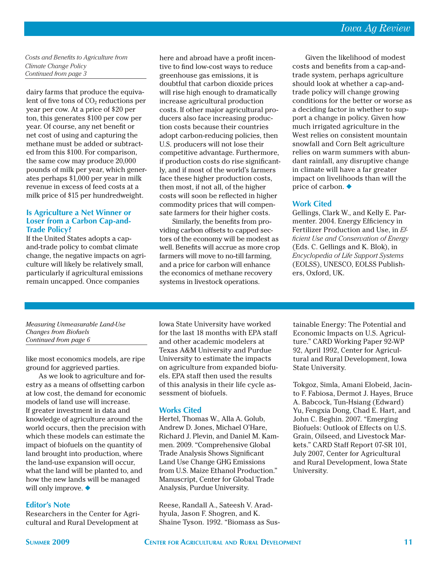*Costs and Benefits to Agriculture from Climate Change Policy Continued from page 3*

dairy farms that produce the equivalent of five tons of  $CO<sub>2</sub>$  reductions per year per cow. At a price of \$20 per ton, this generates \$100 per cow per year. Of course, any net benefit or net cost of using and capturing the methane must be added or subtracted from this \$100. For comparison, the same cow may produce 20,000 pounds of milk per year, which generates perhaps \$1,000 per year in milk revenue in excess of feed costs at a milk price of \$15 per hundredweight.

### **Is Agriculture a Net Winner or Loser from a Carbon Cap-and-Trade Policy?**

If the United States adopts a capand-trade policy to combat climate change, the negative impacts on agriculture will likely be relatively small, particularly if agricultural emissions remain uncapped. Once companies

here and abroad have a profit incentive to find low-cost ways to reduce greenhouse gas emissions, it is doubtful that carbon dioxide prices will rise high enough to dramatically increase agricultural production costs. If other major agricultural producers also face increasing production costs because their countries adopt carbon-reducing policies, then U.S. producers will not lose their competitive advantage. Furthermore, if production costs do rise significantly, and if most of the world's farmers face these higher production costs, then most, if not all, of the higher costs will soon be reflected in higher commodity prices that will compensate farmers for their higher costs.

Similarly, the benefits from providing carbon offsets to capped sectors of the economy will be modest as well. Benefits will accrue as more crop farmers will move to no-till farming, and a price for carbon will enhance the economics of methane recovery systems in livestock operations.

Given the likelihood of modest costs and benefits from a cap-andtrade system, perhaps agriculture should look at whether a cap-andtrade policy will change growing conditions for the better or worse as a deciding factor in whether to support a change in policy. Given how much irrigated agriculture in the West relies on consistent mountain snowfall and Corn Belt agriculture relies on warm summers with abundant rainfall, any disruptive change in climate will have a far greater impact on livelihoods than will the price of carbon. ◆

### **Work Cited**

Gellings, Clark W., and Kelly E. Parmenter. 2004. Energy Efficiency in Fertilizer Production and Use, in *Effi cient Use and Conservation of Energy*  (Eds. C. Gellings and K. Blok), in *Encyclopedia of Life Support Systems* (EOLSS), UNESCO, EOLSS Publishers, Oxford, UK.

#### *Measuring Unmeasurable Land-Use Changes from Biofuels Continued from page 6*

like most economics models, are ripe ground for aggrieved parties.

As we look to agriculture and forestry as a means of offsetting carbon at low cost, the demand for economic models of land use will increase. If greater investment in data and knowledge of agriculture around the world occurs, then the precision with which these models can estimate the impact of biofuels on the quantity of land brought into production, where the land-use expansion will occur, what the land will be planted to, and how the new lands will be managed will only improve. ◆

### **Editor's Note**

Researchers in the Center for Agricultural and Rural Development at

Iowa State University have worked for the last 18 months with EPA staff and other academic modelers at Texas A&M University and Purdue University to estimate the impacts on agriculture from expanded biofuels. EPA staff then used the results of this analysis in their life cycle assessment of biofuels.

### **Works Cited**

Hertel, Thomas W., Alla A. Golub, Andrew D. Jones, Michael O'Hare, Richard J. Plevin, and Daniel M. Kammen. 2009. "Comprehensive Global Trade Analysis Shows Significant Land Use Change GHG Emissions from U.S. Maize Ethanol Production." Manuscript, Center for Global Trade Analysis, Purdue University.

Reese, Randall A., Sateesh V. Aradhyula, Jason F. Shogren, and K. Shaine Tyson. 1992. "Biomass as Sustainable Energy: The Potential and Economic Impacts on U.S. Agriculture." CARD Working Paper 92-WP 92, April 1992, Center for Agricultural and Rural Development, Iowa State University.

Tokgoz, Simla, Amani Elobeid, Jacinto F. Fabiosa, Dermot J. Hayes, Bruce A. Babcock, Tun-Hsiang (Edward) Yu, Fengxia Dong, Chad E. Hart, and John C. Beghin. 2007. "Emerging Biofuels: Outlook of Effects on U.S. Grain, Oilseed, and Livestock Markets." CARD Staff Report 07-SR 101, July 2007, Center for Agricultural and Rural Development, Iowa State University.